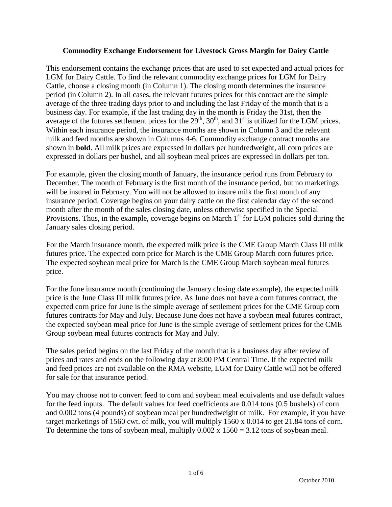## **Commodity Exchange Endorsement for Livestock Gross Margin for Dairy Cattle**

This endorsement contains the exchange prices that are used to set expected and actual prices for LGM for Dairy Cattle. To find the relevant commodity exchange prices for LGM for Dairy Cattle, choose a closing month (in Column 1). The closing month determines the insurance period (in Column 2). In all cases, the relevant futures prices for this contract are the simple average of the three trading days prior to and including the last Friday of the month that is a business day. For example, if the last trading day in the month is Friday the 31st, then the average of the futures settlement prices for the  $29<sup>th</sup>$ ,  $30<sup>th</sup>$ , and  $31<sup>st</sup>$  is utilized for the LGM prices. Within each insurance period, the insurance months are shown in Column 3 and the relevant milk and feed months are shown in Columns 4-6. Commodity exchange contract months are shown in **bold**. All milk prices are expressed in dollars per hundredweight, all corn prices are expressed in dollars per bushel, and all soybean meal prices are expressed in dollars per ton.

For example, given the closing month of January, the insurance period runs from February to December. The month of February is the first month of the insurance period, but no marketings will be insured in February. You will not be allowed to insure milk the first month of any insurance period. Coverage begins on your dairy cattle on the first calendar day of the second month after the month of the sales closing date, unless otherwise specified in the Special Provisions. Thus, in the example, coverage begins on March  $1<sup>st</sup>$  for LGM policies sold during the January sales closing period.

For the March insurance month, the expected milk price is the CME Group March Class III milk futures price. The expected corn price for March is the CME Group March corn futures price. The expected soybean meal price for March is the CME Group March soybean meal futures price.

For the June insurance month (continuing the January closing date example), the expected milk price is the June Class III milk futures price. As June does not have a corn futures contract, the expected corn price for June is the simple average of settlement prices for the CME Group corn futures contracts for May and July. Because June does not have a soybean meal futures contract, the expected soybean meal price for June is the simple average of settlement prices for the CME Group soybean meal futures contracts for May and July.

The sales period begins on the last Friday of the month that is a business day after review of prices and rates and ends on the following day at 8:00 PM Central Time. If the expected milk and feed prices are not available on the RMA website, LGM for Dairy Cattle will not be offered for sale for that insurance period.

You may choose not to convert feed to corn and soybean meal equivalents and use default values for the feed inputs. The default values for feed coefficients are 0.014 tons (0.5 bushels) of corn and 0.002 tons (4 pounds) of soybean meal per hundredweight of milk. For example, if you have target marketings of 1560 cwt. of milk, you will multiply 1560 x 0.014 to get 21.84 tons of corn. To determine the tons of soybean meal, multiply  $0.002 \times 1560 = 3.12$  tons of soybean meal.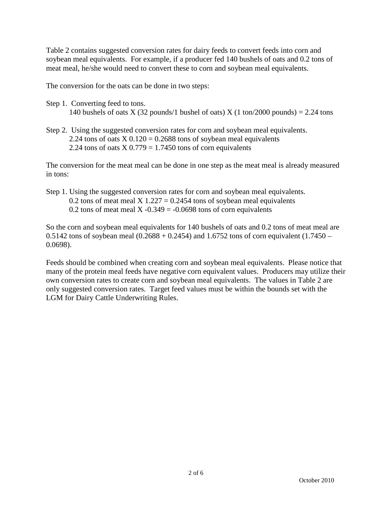Table 2 contains suggested conversion rates for dairy feeds to convert feeds into corn and soybean meal equivalents. For example, if a producer fed 140 bushels of oats and 0.2 tons of meat meal, he/she would need to convert these to corn and soybean meal equivalents.

The conversion for the oats can be done in two steps:

- Step 1. Converting feed to tons. 140 bushels of oats X (32 pounds/1 bushel of oats) X (1 ton/2000 pounds) = 2.24 tons
- Step 2. Using the suggested conversion rates for corn and soybean meal equivalents. 2.24 tons of oats  $X$  0.120 = 0.2688 tons of soybean meal equivalents 2.24 tons of oats  $X$  0.779 = 1.7450 tons of corn equivalents

The conversion for the meat meal can be done in one step as the meat meal is already measured in tons:

Step 1. Using the suggested conversion rates for corn and soybean meal equivalents. 0.2 tons of meat meal X  $1.227 = 0.2454$  tons of soybean meal equivalents 0.2 tons of meat meal X -0.349 = -0.0698 tons of corn equivalents

So the corn and soybean meal equivalents for 140 bushels of oats and 0.2 tons of meat meal are 0.5142 tons of soybean meal  $(0.2688 + 0.2454)$  and 1.6752 tons of corn equivalent  $(1.7450 -$ 0.0698).

Feeds should be combined when creating corn and soybean meal equivalents. Please notice that many of the protein meal feeds have negative corn equivalent values. Producers may utilize their own conversion rates to create corn and soybean meal equivalents. The values in Table 2 are only suggested conversion rates. Target feed values must be within the bounds set with the LGM for Dairy Cattle Underwriting Rules.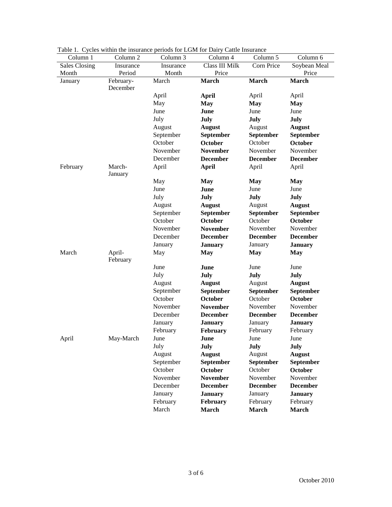| Column 5<br>Column 6<br>Class III Milk<br>Sales Closing<br>Corn Price<br>Soybean Meal<br>Insurance<br>Insurance<br>Price<br>Price<br>Period<br>Month<br>Month<br>February-<br>March<br>March<br>March<br>March<br>January<br>December<br>April<br><b>April</b><br>April<br>April<br>May<br><b>May</b><br><b>May</b><br><b>May</b><br>June<br>June<br>June<br>June<br>July<br>July<br>July<br>July<br>August<br>August<br><b>August</b><br><b>August</b><br>September<br>September<br>September<br>September |
|-------------------------------------------------------------------------------------------------------------------------------------------------------------------------------------------------------------------------------------------------------------------------------------------------------------------------------------------------------------------------------------------------------------------------------------------------------------------------------------------------------------|
|                                                                                                                                                                                                                                                                                                                                                                                                                                                                                                             |
|                                                                                                                                                                                                                                                                                                                                                                                                                                                                                                             |
|                                                                                                                                                                                                                                                                                                                                                                                                                                                                                                             |
|                                                                                                                                                                                                                                                                                                                                                                                                                                                                                                             |
|                                                                                                                                                                                                                                                                                                                                                                                                                                                                                                             |
|                                                                                                                                                                                                                                                                                                                                                                                                                                                                                                             |
|                                                                                                                                                                                                                                                                                                                                                                                                                                                                                                             |
|                                                                                                                                                                                                                                                                                                                                                                                                                                                                                                             |
|                                                                                                                                                                                                                                                                                                                                                                                                                                                                                                             |
|                                                                                                                                                                                                                                                                                                                                                                                                                                                                                                             |
| October<br>October<br>October<br>October                                                                                                                                                                                                                                                                                                                                                                                                                                                                    |
| November<br><b>November</b><br>November<br>November                                                                                                                                                                                                                                                                                                                                                                                                                                                         |
| December<br><b>December</b><br><b>December</b><br><b>December</b>                                                                                                                                                                                                                                                                                                                                                                                                                                           |
| March-<br>April<br><b>April</b><br>April<br>April<br>February                                                                                                                                                                                                                                                                                                                                                                                                                                               |
| January                                                                                                                                                                                                                                                                                                                                                                                                                                                                                                     |
| May<br><b>May</b><br><b>May</b><br><b>May</b>                                                                                                                                                                                                                                                                                                                                                                                                                                                               |
| June<br>June<br>June<br>June                                                                                                                                                                                                                                                                                                                                                                                                                                                                                |
| July<br>July<br>July<br>July                                                                                                                                                                                                                                                                                                                                                                                                                                                                                |
| August<br><b>August</b><br>August<br><b>August</b>                                                                                                                                                                                                                                                                                                                                                                                                                                                          |
| September<br>September<br>September<br>September                                                                                                                                                                                                                                                                                                                                                                                                                                                            |
| October<br>October<br>October<br><b>October</b>                                                                                                                                                                                                                                                                                                                                                                                                                                                             |
| November<br><b>November</b><br>November<br>November                                                                                                                                                                                                                                                                                                                                                                                                                                                         |
| December<br><b>December</b><br><b>December</b><br><b>December</b>                                                                                                                                                                                                                                                                                                                                                                                                                                           |
| January<br><b>January</b><br>January<br><b>January</b>                                                                                                                                                                                                                                                                                                                                                                                                                                                      |
| March<br>April-<br>May<br><b>May</b><br><b>May</b><br><b>May</b>                                                                                                                                                                                                                                                                                                                                                                                                                                            |
| February                                                                                                                                                                                                                                                                                                                                                                                                                                                                                                    |
| June<br>June<br>June<br>June                                                                                                                                                                                                                                                                                                                                                                                                                                                                                |
| July<br>July<br>July<br>July                                                                                                                                                                                                                                                                                                                                                                                                                                                                                |
| August<br><b>August</b><br>August<br><b>August</b>                                                                                                                                                                                                                                                                                                                                                                                                                                                          |
| September<br>September<br>September<br>September                                                                                                                                                                                                                                                                                                                                                                                                                                                            |
| October<br>October<br>October<br>October                                                                                                                                                                                                                                                                                                                                                                                                                                                                    |
| November<br>November<br>November<br><b>November</b>                                                                                                                                                                                                                                                                                                                                                                                                                                                         |
| December<br><b>December</b><br><b>December</b><br><b>December</b>                                                                                                                                                                                                                                                                                                                                                                                                                                           |
| January<br>January<br><b>January</b><br><b>January</b>                                                                                                                                                                                                                                                                                                                                                                                                                                                      |
| February<br>February<br>February<br>February                                                                                                                                                                                                                                                                                                                                                                                                                                                                |
| May-March<br>April<br>June<br>June<br>June<br><b>June</b>                                                                                                                                                                                                                                                                                                                                                                                                                                                   |
| July<br>July<br>July<br>July                                                                                                                                                                                                                                                                                                                                                                                                                                                                                |
| August<br><b>August</b><br>August<br><b>August</b>                                                                                                                                                                                                                                                                                                                                                                                                                                                          |
| September<br>September<br>September<br>September                                                                                                                                                                                                                                                                                                                                                                                                                                                            |
| October<br>October<br>October<br><b>October</b>                                                                                                                                                                                                                                                                                                                                                                                                                                                             |
| November<br><b>November</b><br>November<br>November                                                                                                                                                                                                                                                                                                                                                                                                                                                         |
| December<br><b>December</b><br><b>December</b><br><b>December</b>                                                                                                                                                                                                                                                                                                                                                                                                                                           |
| January<br><b>January</b><br>January<br><b>January</b>                                                                                                                                                                                                                                                                                                                                                                                                                                                      |
| February<br>February<br>February<br>February                                                                                                                                                                                                                                                                                                                                                                                                                                                                |
| March<br>March<br>March<br><b>March</b>                                                                                                                                                                                                                                                                                                                                                                                                                                                                     |

Table 1. Cycles within the insurance periods for LGM for Dairy Cattle Insurance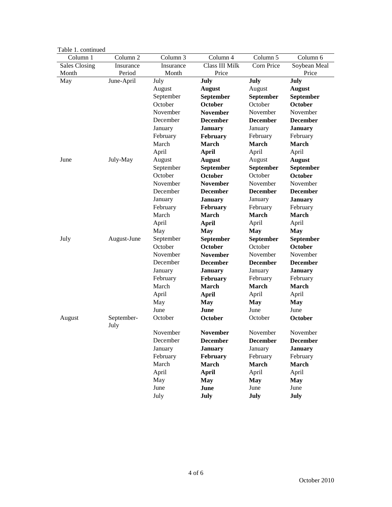| Table 1. continued   |                    |           |                 |                 |                 |
|----------------------|--------------------|-----------|-----------------|-----------------|-----------------|
| Column 1             | Column 2           | Column 3  | Column 4        | Column 5        | Column 6        |
| <b>Sales Closing</b> | Insurance          | Insurance | Class III Milk  | Corn Price      | Soybean Meal    |
| Month                | Period             | Month     | Price           |                 | Price           |
| May                  | June-April         | July      | July            | July            | July            |
|                      |                    | August    | <b>August</b>   | August          | <b>August</b>   |
|                      |                    | September | September       | September       | September       |
|                      |                    | October   | October         | October         | October         |
|                      |                    | November  | <b>November</b> | November        | November        |
|                      |                    | December  | <b>December</b> | <b>December</b> | <b>December</b> |
|                      |                    | January   | <b>January</b>  | January         | <b>January</b>  |
|                      |                    | February  | February        | February        | February        |
|                      |                    | March     | March           | March           | <b>March</b>    |
|                      |                    | April     | <b>April</b>    | April           | April           |
| June                 | July-May           | August    | <b>August</b>   | August          | <b>August</b>   |
|                      |                    | September | September       | September       | September       |
|                      |                    | October   | October         | October         | October         |
|                      |                    | November  | <b>November</b> | November        | November        |
|                      |                    | December  | <b>December</b> | <b>December</b> | <b>December</b> |
|                      |                    | January   | <b>January</b>  | January         | <b>January</b>  |
|                      |                    | February  | February        | February        | February        |
|                      |                    | March     | March           | March           | March           |
|                      |                    | April     | <b>April</b>    | April           | April           |
|                      |                    | May       | <b>May</b>      | <b>May</b>      | <b>May</b>      |
| July                 | August-June        | September | September       | September       | September       |
|                      |                    | October   | October         | October         | October         |
|                      |                    | November  | <b>November</b> | November        | November        |
|                      |                    | December  | <b>December</b> | <b>December</b> | <b>December</b> |
|                      |                    | January   | <b>January</b>  | January         | <b>January</b>  |
|                      |                    | February  | February        | February        | February        |
|                      |                    | March     | March           | March           | March           |
|                      |                    | April     | <b>April</b>    | April           | April           |
|                      |                    | May       | <b>May</b>      | <b>May</b>      | <b>May</b>      |
|                      |                    | June      | June            | June            | June            |
| August               | September-<br>July | October   | October         | October         | October         |
|                      |                    | November  | November        | November        | November        |
|                      |                    | December  | <b>December</b> | <b>December</b> | <b>December</b> |
|                      |                    | January   | <b>January</b>  | January         | <b>January</b>  |
|                      |                    | February  | February        | February        | February        |
|                      |                    | March     | March           | March           | <b>March</b>    |
|                      |                    | April     | <b>April</b>    | April           | April           |
|                      |                    | May       | <b>May</b>      | <b>May</b>      | May             |
|                      |                    | June      | June            | June            | June            |
|                      |                    | July      | July            | July            | July            |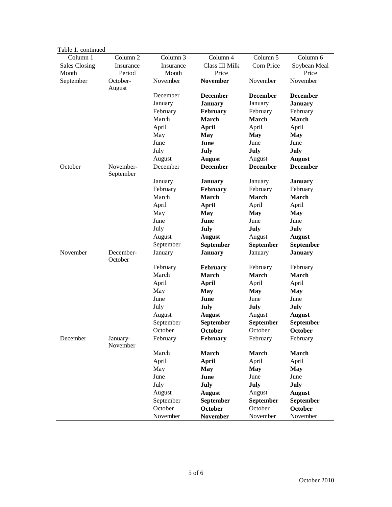| ole 1. commune       |                      |           |                  |                 |                 |
|----------------------|----------------------|-----------|------------------|-----------------|-----------------|
| Column 1             | Column 2             | Column 3  | Column 4         | Column 5        | Column 6        |
| <b>Sales Closing</b> | Insurance            | Insurance | Class III Milk   | Corn Price      | Soybean Meal    |
| Month                | Period               | Month     | Price            |                 | Price           |
| September            | October-             | November  | <b>November</b>  | November        | November        |
|                      | August               |           |                  |                 |                 |
|                      |                      | December  | <b>December</b>  | <b>December</b> | <b>December</b> |
|                      |                      | January   | <b>January</b>   | January         | <b>January</b>  |
|                      |                      | February  | February         | February        | February        |
|                      |                      | March     | <b>March</b>     | <b>March</b>    | <b>March</b>    |
|                      |                      | April     | <b>April</b>     | April           | April           |
|                      |                      | May       | <b>May</b>       | <b>May</b>      | <b>May</b>      |
|                      |                      | June      | June             | June            | June            |
|                      |                      | July      | July             | July            | July            |
|                      |                      | August    | <b>August</b>    | August          | <b>August</b>   |
| October              | November-            | December  | <b>December</b>  | <b>December</b> | <b>December</b> |
|                      | September            |           |                  |                 |                 |
|                      |                      | January   | <b>January</b>   | January         | <b>January</b>  |
|                      |                      | February  | February         | February        | February        |
|                      |                      | March     | March            | <b>March</b>    | March           |
|                      |                      | April     | <b>April</b>     | April           | April           |
|                      |                      | May       | <b>May</b>       | <b>May</b>      | May             |
|                      |                      | June      | June             | June            | June            |
|                      |                      |           |                  |                 |                 |
|                      |                      | July      | July             | July            | July            |
|                      |                      | August    | <b>August</b>    | August          | <b>August</b>   |
|                      |                      | September | September        | September       | September       |
| November             | December-<br>October | January   | <b>January</b>   | January         | <b>January</b>  |
|                      |                      | February  | <b>February</b>  | February        | February        |
|                      |                      | March     | March            | <b>March</b>    | March           |
|                      |                      | April     | April            | April           | April           |
|                      |                      | May       | May              | May             | <b>May</b>      |
|                      |                      | June      | June             | June            | June            |
|                      |                      | July      | July             | July            | July            |
|                      |                      | August    | <b>August</b>    | August          | <b>August</b>   |
|                      |                      | September | September        | September       | September       |
|                      |                      | October   |                  | October         |                 |
|                      |                      |           | October          |                 | October         |
| December             | January-<br>November | February  | February         | February        | February        |
|                      |                      | March     | <b>March</b>     | <b>March</b>    | <b>March</b>    |
|                      |                      | April     | <b>April</b>     | April           | April           |
|                      |                      | May       | <b>May</b>       | <b>May</b>      | <b>May</b>      |
|                      |                      | June      | June             | June            | June            |
|                      |                      | July      | July             | July            | July            |
|                      |                      | August    | <b>August</b>    | August          | <b>August</b>   |
|                      |                      | September | <b>September</b> | September       | September       |
|                      |                      | October   | October          | October         | <b>October</b>  |
|                      |                      | November  | <b>November</b>  | November        | November        |
|                      |                      |           |                  |                 |                 |

Table 1. continued